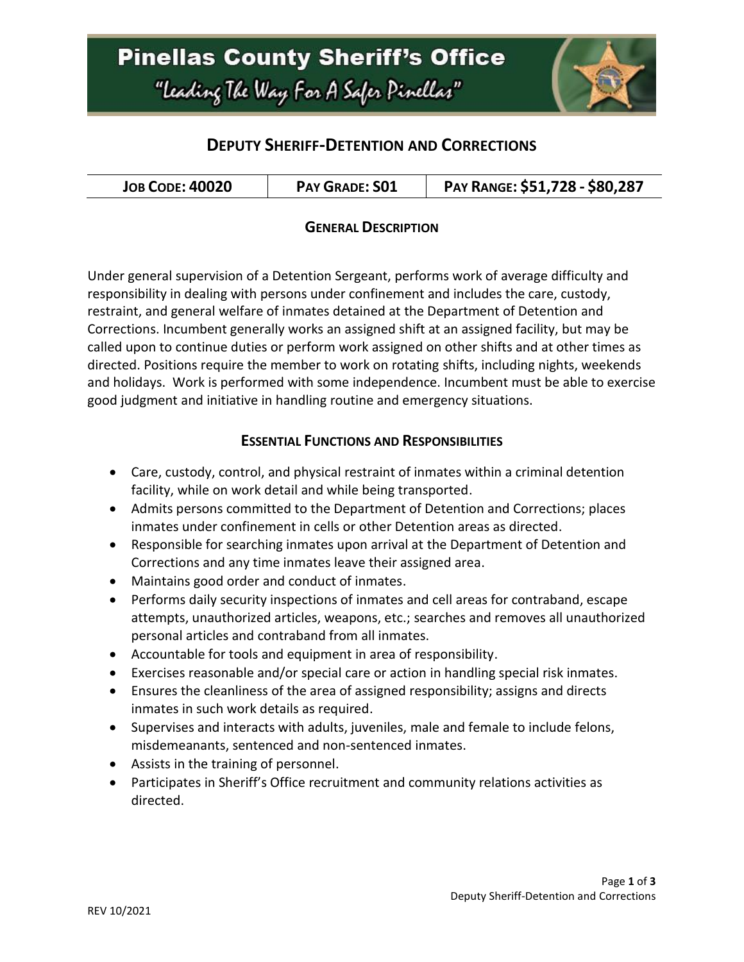# **Pinellas County Sheriff's Office** "Leading The Way For A Safer Pinellar"



## **DEPUTY SHERIFF-DETENTION AND CORRECTIONS**

| PAY GRADE: SO1<br><b>JOB CODE: 40020</b> | PAY RANGE: \$51,728 - \$80,287 |
|------------------------------------------|--------------------------------|
|------------------------------------------|--------------------------------|

### **GENERAL DESCRIPTION**

Under general supervision of a Detention Sergeant, performs work of average difficulty and responsibility in dealing with persons under confinement and includes the care, custody, restraint, and general welfare of inmates detained at the Department of Detention and Corrections. Incumbent generally works an assigned shift at an assigned facility, but may be called upon to continue duties or perform work assigned on other shifts and at other times as directed. Positions require the member to work on rotating shifts, including nights, weekends and holidays. Work is performed with some independence. Incumbent must be able to exercise good judgment and initiative in handling routine and emergency situations.

#### **ESSENTIAL FUNCTIONS AND RESPONSIBILITIES**

- Care, custody, control, and physical restraint of inmates within a criminal detention facility, while on work detail and while being transported.
- Admits persons committed to the Department of Detention and Corrections; places inmates under confinement in cells or other Detention areas as directed.
- Responsible for searching inmates upon arrival at the Department of Detention and Corrections and any time inmates leave their assigned area.
- Maintains good order and conduct of inmates.
- Performs daily security inspections of inmates and cell areas for contraband, escape attempts, unauthorized articles, weapons, etc.; searches and removes all unauthorized personal articles and contraband from all inmates.
- Accountable for tools and equipment in area of responsibility.
- Exercises reasonable and/or special care or action in handling special risk inmates.
- Ensures the cleanliness of the area of assigned responsibility; assigns and directs inmates in such work details as required.
- Supervises and interacts with adults, juveniles, male and female to include felons, misdemeanants, sentenced and non-sentenced inmates.
- Assists in the training of personnel.
- Participates in Sheriff's Office recruitment and community relations activities as directed.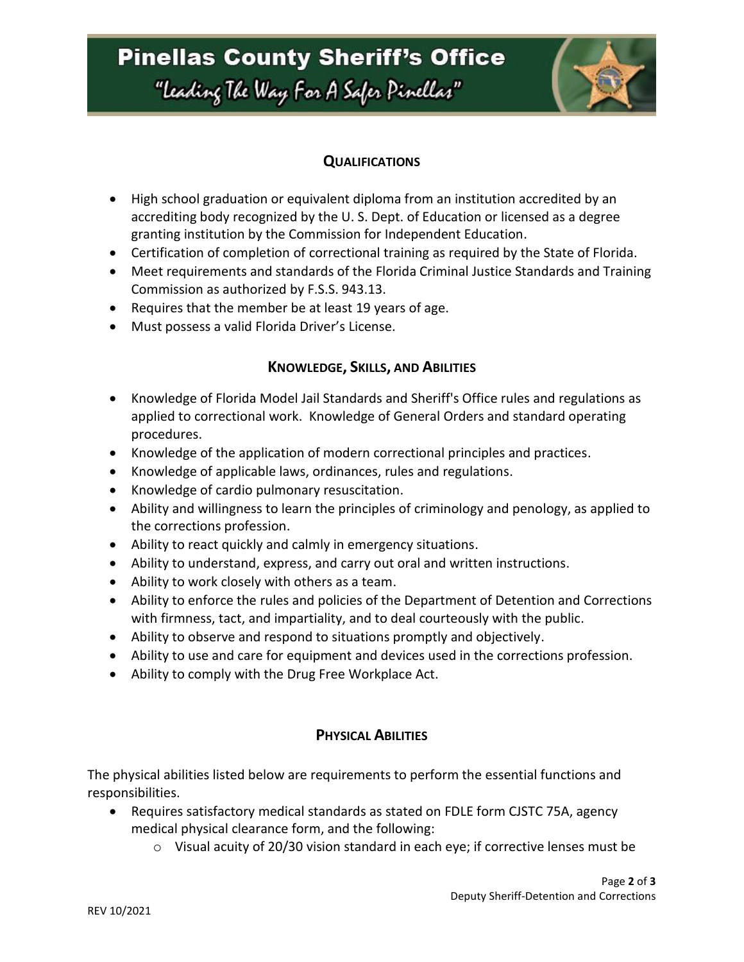# **Pinellas County Sheriff's Office**

"Leading The Way For A Safer Pinellar"



## **QUALIFICATIONS**

- High school graduation or equivalent diploma from an institution accredited by an accrediting body recognized by the U. S. Dept. of Education or licensed as a degree granting institution by the Commission for Independent Education.
- Certification of completion of correctional training as required by the State of Florida.
- Meet requirements and standards of the Florida Criminal Justice Standards and Training Commission as authorized by F.S.S. 943.13.
- Requires that the member be at least 19 years of age.
- Must possess a valid Florida Driver's License.

### **KNOWLEDGE, SKILLS, AND ABILITIES**

- Knowledge of Florida Model Jail Standards and Sheriff's Office rules and regulations as applied to correctional work. Knowledge of General Orders and standard operating procedures.
- Knowledge of the application of modern correctional principles and practices.
- Knowledge of applicable laws, ordinances, rules and regulations.
- Knowledge of cardio pulmonary resuscitation.
- Ability and willingness to learn the principles of criminology and penology, as applied to the corrections profession.
- Ability to react quickly and calmly in emergency situations.
- Ability to understand, express, and carry out oral and written instructions.
- Ability to work closely with others as a team.
- Ability to enforce the rules and policies of the Department of Detention and Corrections with firmness, tact, and impartiality, and to deal courteously with the public.
- Ability to observe and respond to situations promptly and objectively.
- Ability to use and care for equipment and devices used in the corrections profession.
- Ability to comply with the Drug Free Workplace Act.

## **PHYSICAL ABILITIES**

The physical abilities listed below are requirements to perform the essential functions and responsibilities.

- Requires satisfactory medical standards as stated on FDLE form CJSTC 75A, agency medical physical clearance form, and the following:
	- $\circ$  Visual acuity of 20/30 vision standard in each eye; if corrective lenses must be